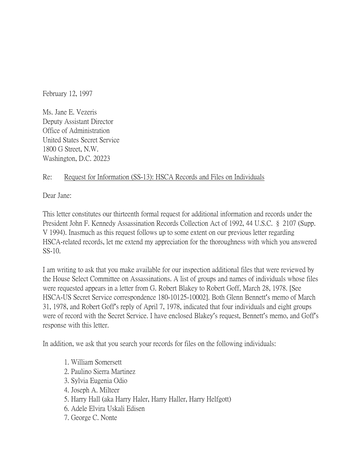February 12, 1997

Ms. Jane E. Vezeris Deputy Assistant Director Office of Administration United States Secret Service 1800 G Street, N.W. Washington, D.C. 20223

## Re: Request for Information (SS-13): HSCA Records and Files on Individuals

Dear Jane:

This letter constitutes our thirteenth formal request for additional information and records under the President John F. Kennedy Assassination Records Collection Act of 1992, 44 U.S.C. § 2107 (Supp. V 1994). Inasmuch as this request follows up to some extent on our previous letter regarding HSCA-related records, let me extend my appreciation for the thoroughness with which you answered SS-10.

I am writing to ask that you make available for our inspection additional files that were reviewed by the House Select Committee on Assassinations. A list of groups and names of individuals whose files were requested appears in a letter from G. Robert Blakey to Robert Goff, March 28, 1978. [See HSCA-US Secret Service correspondence 180-10125-10002]. Both Glenn Bennett's memo of March 31, 1978, and Robert Goff's reply of April 7, 1978, indicated that four individuals and eight groups were of record with the Secret Service. I have enclosed Blakey's request, Bennett's memo, and Goff's response with this letter.

In addition, we ask that you search your records for files on the following individuals:

- 1. William Somersett
- 2. Paulino Sierra Martinez
- 3. Sylvia Eugenia Odio
- 4. Joseph A. Milteer
- 5. Harry Hall (aka Harry Haler, Harry Haller, Harry Helfgott)
- 6. Adele Elvira Uskali Edisen
- 7. George C. Nonte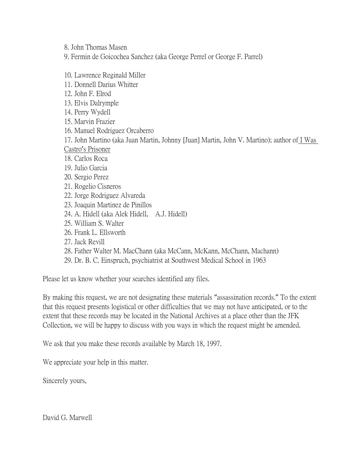8. John Thomas Masen

9. Fermin de Goicochea Sanchez (aka George Perrel or George F. Parrel)

10. Lawrence Reginald Miller 11. Donnell Darius Whitter 12. John F. Elrod 13. Elvis Dalrymple 14. Perry Wydell 15. Marvin Frazier 16. Manuel Rodriguez Orcaberro 17. John Martino (aka Juan Martin, Johnny [Juan] Martin, John V. Martino); author of I Was Castro's Prisoner 18. Carlos Roca 19. Julio Garcia 20. Sergio Perez 21. Rogelio Cisneros 22. Jorge Rodriguez Alvareda 23. Joaquin Martinez de Pinillos 24. A. Hidell (aka Alek Hidell, A.J. Hidell) 25. William S. Walter 26. Frank L. Ellsworth 27. Jack Revill 28. Father Walter M. MacChann (aka McCann, McKann, McChann, Machann) 29. Dr. B. C. Einspruch, psychiatrist at Southwest Medical School in 1963

Please let us know whether your searches identified any files.

By making this request, we are not designating these materials "assassination records." To the extent that this request presents logistical or other difficulties that we may not have anticipated, or to the extent that these records may be located in the National Archives at a place other than the JFK Collection, we will be happy to discuss with you ways in which the request might be amended.

We ask that you make these records available by March 18, 1997.

We appreciate your help in this matter.

Sincerely yours,

David G. Marwell